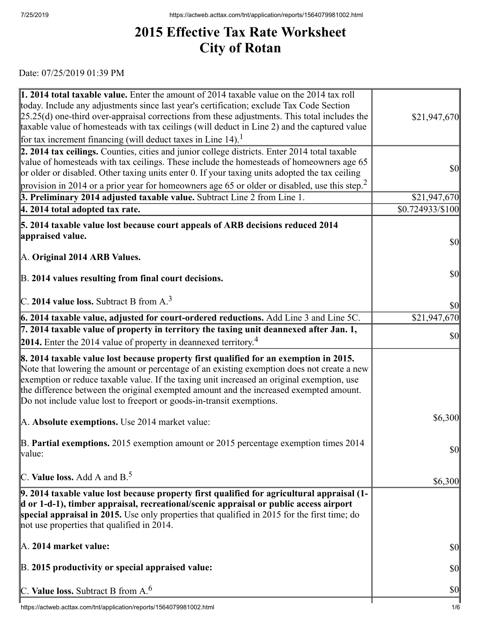## **2015 Effective Tax Rate Worksheet City of Rotan**

Date: 07/25/2019 01:39 PM

| <b>1. 2014 total taxable value.</b> Enter the amount of 2014 taxable value on the 2014 tax roll<br>today. Include any adjustments since last year's certification; exclude Tax Code Section                                                                                                                                                                                                                                                          |                                     |
|------------------------------------------------------------------------------------------------------------------------------------------------------------------------------------------------------------------------------------------------------------------------------------------------------------------------------------------------------------------------------------------------------------------------------------------------------|-------------------------------------|
| $[25.25(d)$ one-third over-appraisal corrections from these adjustments. This total includes the<br>taxable value of homesteads with tax ceilings (will deduct in Line 2) and the captured value                                                                                                                                                                                                                                                     | \$21,947,670                        |
| for tax increment financing (will deduct taxes in Line $14$ ). <sup>1</sup>                                                                                                                                                                                                                                                                                                                                                                          |                                     |
| 2. 2014 tax ceilings. Counties, cities and junior college districts. Enter 2014 total taxable<br>value of homesteads with tax ceilings. These include the homesteads of homeowners age 65<br>or older or disabled. Other taxing units enter 0. If your taxing units adopted the tax ceiling                                                                                                                                                          | <b>\$0</b>                          |
| provision in 2014 or a prior year for homeowners age 65 or older or disabled, use this step. <sup>2</sup>                                                                                                                                                                                                                                                                                                                                            |                                     |
| 3. Preliminary 2014 adjusted taxable value. Subtract Line 2 from Line 1.                                                                                                                                                                                                                                                                                                                                                                             | \$21,947,670                        |
| 4. 2014 total adopted tax rate.                                                                                                                                                                                                                                                                                                                                                                                                                      | \$0.724933/\$100                    |
| 5. 2014 taxable value lost because court appeals of ARB decisions reduced 2014                                                                                                                                                                                                                                                                                                                                                                       |                                     |
| appraised value.                                                                                                                                                                                                                                                                                                                                                                                                                                     | <b>\$0</b>                          |
| A. Original 2014 ARB Values.                                                                                                                                                                                                                                                                                                                                                                                                                         |                                     |
| B. 2014 values resulting from final court decisions.                                                                                                                                                                                                                                                                                                                                                                                                 | <b>\$0</b>                          |
| C. 2014 value loss. Subtract B from $A3$                                                                                                                                                                                                                                                                                                                                                                                                             | $\vert \mathbf{S} \mathbf{O} \vert$ |
| 6. 2014 taxable value, adjusted for court-ordered reductions. Add Line 3 and Line 5C.                                                                                                                                                                                                                                                                                                                                                                | \$21,947,670                        |
| $\vert$ 7. 2014 taxable value of property in territory the taxing unit deannexed after Jan. 1,                                                                                                                                                                                                                                                                                                                                                       | <b>\$0</b>                          |
| <b>2014.</b> Enter the 2014 value of property in deannexed territory. <sup>4</sup>                                                                                                                                                                                                                                                                                                                                                                   |                                     |
| 8. 2014 taxable value lost because property first qualified for an exemption in 2015.<br>Note that lowering the amount or percentage of an existing exemption does not create a new<br>exemption or reduce taxable value. If the taxing unit increased an original exemption, use<br>the difference between the original exempted amount and the increased exempted amount.<br>Do not include value lost to freeport or goods-in-transit exemptions. |                                     |
| A. Absolute exemptions. Use 2014 market value:                                                                                                                                                                                                                                                                                                                                                                                                       | \$6,300                             |
| B. Partial exemptions. 2015 exemption amount or 2015 percentage exemption times 2014<br>value:                                                                                                                                                                                                                                                                                                                                                       | <b>\$0</b>                          |
| C. Value loss. Add A and $B^5$ .                                                                                                                                                                                                                                                                                                                                                                                                                     | \$6,300                             |
| $\vert$ 9. 2014 taxable value lost because property first qualified for agricultural appraisal (1-<br>d or 1-d-1), timber appraisal, recreational/scenic appraisal or public access airport<br>special appraisal in 2015. Use only properties that qualified in 2015 for the first time; do<br>not use properties that qualified in 2014.                                                                                                            |                                     |
| $\mathbb{A}$ . 2014 market value:                                                                                                                                                                                                                                                                                                                                                                                                                    | <b>\$0</b>                          |
| B. 2015 productivity or special appraised value:                                                                                                                                                                                                                                                                                                                                                                                                     | <b>\$0</b>                          |
| C. Value loss. Subtract B from $A6$                                                                                                                                                                                                                                                                                                                                                                                                                  | $\vert \mathbf{S} \mathbf{O} \vert$ |
| https://actweb.acttax.com/tnt/application/reports/1564079981002.html                                                                                                                                                                                                                                                                                                                                                                                 | 1/6                                 |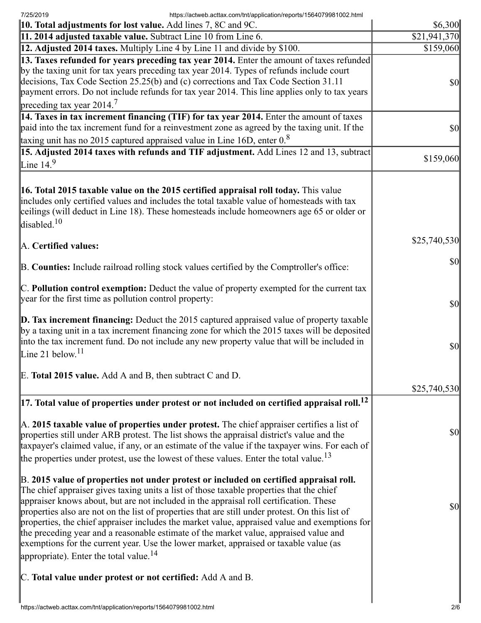7/25/2019 https://actweb.acttax.com/tnt/application/reports/1564079981002.html

| imps.//actweb.actiax.com/un/application/reports/1004073301002.mini<br><b>10. Total adjustments for lost value.</b> Add lines 7, 8C and 9C.                                                                                                                                                                                                                                                                                                                                                                                                                                                                                                                                                                         | \$6,300       |
|--------------------------------------------------------------------------------------------------------------------------------------------------------------------------------------------------------------------------------------------------------------------------------------------------------------------------------------------------------------------------------------------------------------------------------------------------------------------------------------------------------------------------------------------------------------------------------------------------------------------------------------------------------------------------------------------------------------------|---------------|
| 11. 2014 adjusted taxable value. Subtract Line 10 from Line 6.                                                                                                                                                                                                                                                                                                                                                                                                                                                                                                                                                                                                                                                     | \$21,941,370  |
| 12. Adjusted 2014 taxes. Multiply Line 4 by Line 11 and divide by \$100.                                                                                                                                                                                                                                                                                                                                                                                                                                                                                                                                                                                                                                           | \$159,060     |
| 13. Taxes refunded for years preceding tax year 2014. Enter the amount of taxes refunded<br>by the taxing unit for tax years preceding tax year 2014. Types of refunds include court<br>decisions, Tax Code Section 25.25(b) and (c) corrections and Tax Code Section 31.11<br>payment errors. Do not include refunds for tax year 2014. This line applies only to tax years<br>preceding tax year $2014.7$                                                                                                                                                                                                                                                                                                        | \$0           |
| 14. Taxes in tax increment financing (TIF) for tax year 2014. Enter the amount of taxes<br>paid into the tax increment fund for a reinvestment zone as agreed by the taxing unit. If the<br>taxing unit has no 2015 captured appraised value in Line 16D, enter $0.8$                                                                                                                                                                                                                                                                                                                                                                                                                                              | $\frac{1}{2}$ |
| 15. Adjusted 2014 taxes with refunds and TIF adjustment. Add Lines 12 and 13, subtract                                                                                                                                                                                                                                                                                                                                                                                                                                                                                                                                                                                                                             |               |
| Line $14.9$                                                                                                                                                                                                                                                                                                                                                                                                                                                                                                                                                                                                                                                                                                        | \$159,060     |
| <b>16. Total 2015 taxable value on the 2015 certified appraisal roll today.</b> This value<br>includes only certified values and includes the total taxable value of homesteads with tax<br>ceilings (will deduct in Line 18). These homesteads include homeowners age 65 or older or<br>disabled. <sup>10</sup>                                                                                                                                                                                                                                                                                                                                                                                                   |               |
| A. Certified values:                                                                                                                                                                                                                                                                                                                                                                                                                                                                                                                                                                                                                                                                                               | \$25,740,530  |
| B. Counties: Include railroad rolling stock values certified by the Comptroller's office:                                                                                                                                                                                                                                                                                                                                                                                                                                                                                                                                                                                                                          | \$0           |
| $\mathbb C$ . Pollution control exemption: Deduct the value of property exempted for the current tax<br>year for the first time as pollution control property:                                                                                                                                                                                                                                                                                                                                                                                                                                                                                                                                                     | $ 10\rangle$  |
| $\mathbf{D}$ . Tax increment financing: Deduct the 2015 captured appraised value of property taxable<br>by a taxing unit in a tax increment financing zone for which the 2015 taxes will be deposited<br>into the tax increment fund. Do not include any new property value that will be included in<br>Line 21 below. $11$                                                                                                                                                                                                                                                                                                                                                                                        | $ 10\rangle$  |
| E. Total 2015 value. Add A and B, then subtract C and D.                                                                                                                                                                                                                                                                                                                                                                                                                                                                                                                                                                                                                                                           |               |
|                                                                                                                                                                                                                                                                                                                                                                                                                                                                                                                                                                                                                                                                                                                    | \$25,740,530  |
| $\vert$ 17. Total value of properties under protest or not included on certified appraisal roll. <sup>12</sup>                                                                                                                                                                                                                                                                                                                                                                                                                                                                                                                                                                                                     |               |
| A. 2015 taxable value of properties under protest. The chief appraiser certifies a list of<br>properties still under ARB protest. The list shows the appraisal district's value and the<br>taxpayer's claimed value, if any, or an estimate of the value if the taxpayer wins. For each of<br>the properties under protest, use the lowest of these values. Enter the total value. <sup>13</sup>                                                                                                                                                                                                                                                                                                                   | \$0           |
| B. 2015 value of properties not under protest or included on certified appraisal roll.<br>The chief appraiser gives taxing units a list of those taxable properties that the chief<br>appraiser knows about, but are not included in the appraisal roll certification. These<br>properties also are not on the list of properties that are still under protest. On this list of<br>properties, the chief appraiser includes the market value, appraised value and exemptions for<br>the preceding year and a reasonable estimate of the market value, appraised value and<br>exemptions for the current year. Use the lower market, appraised or taxable value (as<br>appropriate). Enter the total value. $^{14}$ | \$0           |
| C. Total value under protest or not certified: Add A and B.                                                                                                                                                                                                                                                                                                                                                                                                                                                                                                                                                                                                                                                        |               |
|                                                                                                                                                                                                                                                                                                                                                                                                                                                                                                                                                                                                                                                                                                                    |               |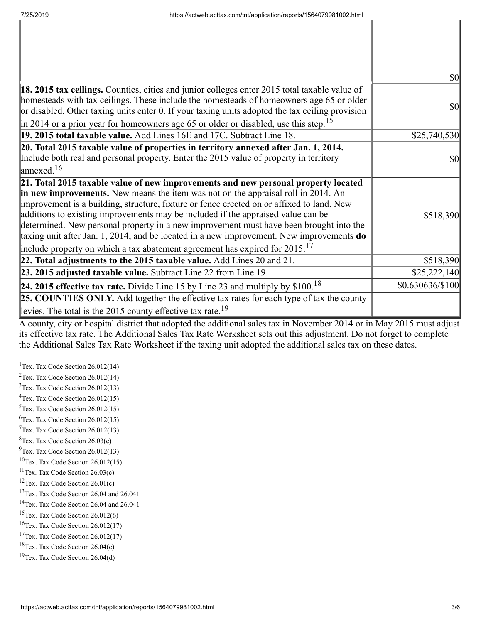|                                                                                                                                                                                                                                                                                                                                                                                                                                                                                                                                                                                                                                              | $\sqrt{50}$      |
|----------------------------------------------------------------------------------------------------------------------------------------------------------------------------------------------------------------------------------------------------------------------------------------------------------------------------------------------------------------------------------------------------------------------------------------------------------------------------------------------------------------------------------------------------------------------------------------------------------------------------------------------|------------------|
| 18. 2015 tax ceilings. Counties, cities and junior colleges enter 2015 total taxable value of<br>homesteads with tax ceilings. These include the homesteads of homeowners age 65 or older<br>or disabled. Other taxing units enter 0. If your taxing units adopted the tax ceiling provision<br>$\left  \text{in } 2014 \text{ or a prior year for home owners age 65 or older or disabled, use this step.} \right $                                                                                                                                                                                                                         | <b>\$0</b>       |
| 19. 2015 total taxable value. Add Lines 16E and 17C. Subtract Line 18.                                                                                                                                                                                                                                                                                                                                                                                                                                                                                                                                                                       | \$25,740,530     |
| 20. Total 2015 taxable value of properties in territory annexed after Jan. 1, 2014.<br>Include both real and personal property. Enter the 2015 value of property in territory<br>$\lvert$ annexed. <sup>16</sup>                                                                                                                                                                                                                                                                                                                                                                                                                             | <b>\$0</b>       |
| 21. Total 2015 taxable value of new improvements and new personal property located<br>in new improvements. New means the item was not on the appraisal roll in 2014. An<br>improvement is a building, structure, fixture or fence erected on or affixed to land. New<br>additions to existing improvements may be included if the appraised value can be<br>determined. New personal property in a new improvement must have been brought into the<br>taxing unit after Jan. 1, 2014, and be located in a new improvement. New improvements do<br>include property on which a tax abatement agreement has expired for $2015$ . <sup>17</sup> | \$518,390        |
| 22. Total adjustments to the 2015 taxable value. Add Lines 20 and 21.                                                                                                                                                                                                                                                                                                                                                                                                                                                                                                                                                                        | \$518,390        |
| 23. 2015 adjusted taxable value. Subtract Line 22 from Line 19.                                                                                                                                                                                                                                                                                                                                                                                                                                                                                                                                                                              | \$25,222,140     |
| <b>24. 2015 effective tax rate.</b> Divide Line 15 by Line 23 and multiply by $$100.18$                                                                                                                                                                                                                                                                                                                                                                                                                                                                                                                                                      | \$0.630636/\$100 |
| <b>25. COUNTIES ONLY.</b> Add together the effective tax rates for each type of tax the county<br>levies. The total is the 2015 county effective tax rate. <sup>19</sup>                                                                                                                                                                                                                                                                                                                                                                                                                                                                     |                  |

A county, city or hospital district that adopted the additional sales tax in November 2014 or in May 2015 must adjust its effective tax rate. The Additional Sales Tax Rate Worksheet sets out this adjustment. Do not forget to complete the Additional Sales Tax Rate Worksheet if the taxing unit adopted the additional sales tax on these dates.

<sup>1</sup>Tex. Tax Code Section  $26.012(14)$ <sup>2</sup>Tex. Tax Code Section  $26.012(14)$ Tex. Tax Code Section 26.012(13) Tex. Tax Code Section 26.012(15) Tex. Tax Code Section 26.012(15)  ${}^{6}$ Tex. Tax Code Section 26.012(15) Tex. Tax Code Section 26.012(13)  ${}^{8}$ Tex. Tax Code Section 26.03(c)  $^{9}$ Tex. Tax Code Section 26.012(13) Tex. Tax Code Section 26.012(15) Tex. Tax Code Section 26.03(c) Tex. Tax Code Section 26.01(c) <sup>13</sup>Tex. Tax Code Section 26.04 and 26.041 Tex. Tax Code Section 26.04 and 26.041 Tex. Tax Code Section 26.012(6) Tex. Tax Code Section 26.012(17) <sup>17</sup>Tex. Tax Code Section  $26.012(17)$ Tex. Tax Code Section 26.04(c) Tex. Tax Code Section 26.04(d)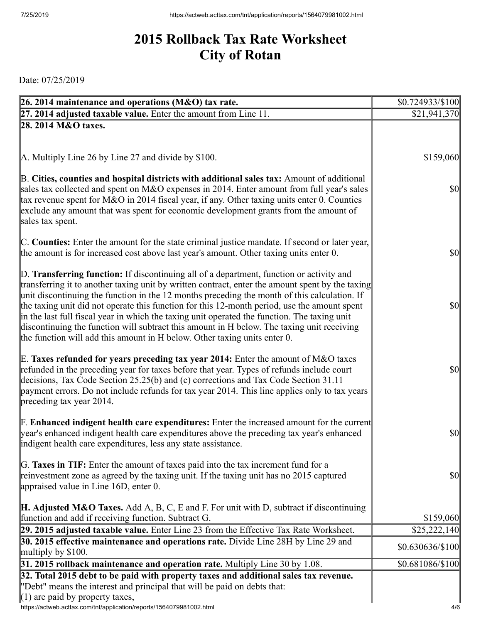## **2015 Rollback Tax Rate Worksheet City of Rotan**

Date: 07/25/2019

| 26. 2014 maintenance and operations (M&O) tax rate.                                                                                                                                                                                                                                                                                                                                                 | $$0.724933\%100$ |
|-----------------------------------------------------------------------------------------------------------------------------------------------------------------------------------------------------------------------------------------------------------------------------------------------------------------------------------------------------------------------------------------------------|------------------|
| 27. 2014 adjusted taxable value. Enter the amount from Line 11.                                                                                                                                                                                                                                                                                                                                     | \$21,941,370     |
| 28. 2014 M&O taxes.                                                                                                                                                                                                                                                                                                                                                                                 |                  |
|                                                                                                                                                                                                                                                                                                                                                                                                     |                  |
|                                                                                                                                                                                                                                                                                                                                                                                                     |                  |
| A. Multiply Line 26 by Line 27 and divide by \$100.                                                                                                                                                                                                                                                                                                                                                 | \$159,060        |
| B. Cities, counties and hospital districts with additional sales tax: Amount of additional<br>sales tax collected and spent on M&O expenses in 2014. Enter amount from full year's sales<br>tax revenue spent for M&O in 2014 fiscal year, if any. Other taxing units enter 0. Counties<br>exclude any amount that was spent for economic development grants from the amount of                     | $\frac{1}{2}$    |
| sales tax spent.                                                                                                                                                                                                                                                                                                                                                                                    |                  |
|                                                                                                                                                                                                                                                                                                                                                                                                     |                  |
| C. Counties: Enter the amount for the state criminal justice mandate. If second or later year,                                                                                                                                                                                                                                                                                                      |                  |
| the amount is for increased cost above last year's amount. Other taxing units enter 0.                                                                                                                                                                                                                                                                                                              | $\frac{1}{2}$    |
| D. Transferring function: If discontinuing all of a department, function or activity and                                                                                                                                                                                                                                                                                                            |                  |
| transferring it to another taxing unit by written contract, enter the amount spent by the taxing                                                                                                                                                                                                                                                                                                    |                  |
| unit discontinuing the function in the 12 months preceding the month of this calculation. If                                                                                                                                                                                                                                                                                                        |                  |
| the taxing unit did not operate this function for this 12-month period, use the amount spent                                                                                                                                                                                                                                                                                                        | $\frac{1}{2}$    |
| in the last full fiscal year in which the taxing unit operated the function. The taxing unit                                                                                                                                                                                                                                                                                                        |                  |
| discontinuing the function will subtract this amount in H below. The taxing unit receiving<br>the function will add this amount in H below. Other taxing units enter 0.                                                                                                                                                                                                                             |                  |
|                                                                                                                                                                                                                                                                                                                                                                                                     |                  |
| E. Taxes refunded for years preceding tax year 2014: Enter the amount of M&O taxes<br>refunded in the preceding year for taxes before that year. Types of refunds include court<br>decisions, Tax Code Section 25.25(b) and (c) corrections and Tax Code Section 31.11<br>payment errors. Do not include refunds for tax year 2014. This line applies only to tax years<br>preceding tax year 2014. | $\frac{1}{2}$    |
|                                                                                                                                                                                                                                                                                                                                                                                                     |                  |
| <b>F. Enhanced indigent health care expenditures:</b> Enter the increased amount for the current<br>year's enhanced indigent health care expenditures above the preceding tax year's enhanced<br>indigent health care expenditures, less any state assistance.                                                                                                                                      | $\frac{1}{2}$    |
|                                                                                                                                                                                                                                                                                                                                                                                                     |                  |
| G. Taxes in TIF: Enter the amount of taxes paid into the tax increment fund for a                                                                                                                                                                                                                                                                                                                   |                  |
| reinvestment zone as agreed by the taxing unit. If the taxing unit has no 2015 captured<br>appraised value in Line 16D, enter 0.                                                                                                                                                                                                                                                                    | <b>\$0</b>       |
|                                                                                                                                                                                                                                                                                                                                                                                                     |                  |
| <b>H. Adjusted M&amp;O Taxes.</b> Add A, B, C, E and F. For unit with D, subtract if discontinuing                                                                                                                                                                                                                                                                                                  |                  |
| function and add if receiving function. Subtract G.                                                                                                                                                                                                                                                                                                                                                 | \$159,060        |
| 29. 2015 adjusted taxable value. Enter Line 23 from the Effective Tax Rate Worksheet.                                                                                                                                                                                                                                                                                                               | \$25,222,140     |
| 30. 2015 effective maintenance and operations rate. Divide Line 28H by Line 29 and                                                                                                                                                                                                                                                                                                                  | $$0.630636\%100$ |
| multiply by $$100$ .                                                                                                                                                                                                                                                                                                                                                                                |                  |
| $31.2015$ rollback maintenance and operation rate. Multiply Line 30 by 1.08.                                                                                                                                                                                                                                                                                                                        | \$0.681086/\$100 |
| 32. Total 2015 debt to be paid with property taxes and additional sales tax revenue.<br>"Debt" means the interest and principal that will be paid on debts that:                                                                                                                                                                                                                                    |                  |
| $(1)$ are paid by property taxes,                                                                                                                                                                                                                                                                                                                                                                   |                  |
| https://actweb.acttax.com/tnt/application/reports/1564079981002.html                                                                                                                                                                                                                                                                                                                                | 4/6              |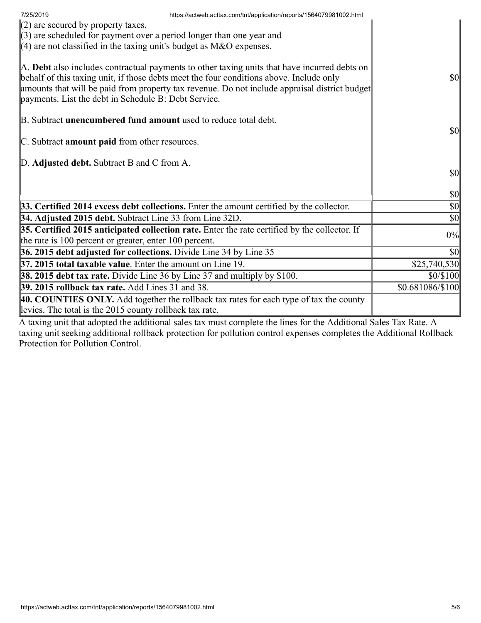| 7/25/2019                                                                       | https://actweb.acttax.com/tnt/application/reports/1564079981002.html                                                                                                                                                                                                                     |                                     |
|---------------------------------------------------------------------------------|------------------------------------------------------------------------------------------------------------------------------------------------------------------------------------------------------------------------------------------------------------------------------------------|-------------------------------------|
| $(2)$ are secured by property taxes,                                            |                                                                                                                                                                                                                                                                                          |                                     |
| $(3)$ are scheduled for payment over a period longer than one year and          |                                                                                                                                                                                                                                                                                          |                                     |
| $(4)$ are not classified in the taxing unit's budget as M&O expenses.           |                                                                                                                                                                                                                                                                                          |                                     |
| payments. List the debt in Schedule B: Debt Service.                            | A. Debt also includes contractual payments to other taxing units that have incurred debts on<br>behalf of this taxing unit, if those debts meet the four conditions above. Include only<br>amounts that will be paid from property tax revenue. Do not include appraisal district budget | $\frac{1}{2}$                       |
| B. Subtract <b>unencumbered fund amount</b> used to reduce total debt.          |                                                                                                                                                                                                                                                                                          |                                     |
|                                                                                 |                                                                                                                                                                                                                                                                                          | $\vert \mathbf{S} \mathbf{O} \vert$ |
| C. Subtract amount paid from other resources.                                   |                                                                                                                                                                                                                                                                                          |                                     |
|                                                                                 |                                                                                                                                                                                                                                                                                          |                                     |
| D. Adjusted debt. Subtract B and C from A.                                      |                                                                                                                                                                                                                                                                                          |                                     |
|                                                                                 |                                                                                                                                                                                                                                                                                          | $\vert \mathbf{S} \mathbf{0} \vert$ |
|                                                                                 |                                                                                                                                                                                                                                                                                          | $\vert \mathbf{S} \mathbf{0} \vert$ |
|                                                                                 | 33. Certified 2014 excess debt collections. Enter the amount certified by the collector.                                                                                                                                                                                                 | $\vert \mathbf{S} \mathbf{0} \vert$ |
| 34. Adjusted 2015 debt. Subtract Line 33 from Line 32D.                         |                                                                                                                                                                                                                                                                                          | $\vert \mathbf{S} \mathbf{0} \vert$ |
|                                                                                 | $35.$ Certified 2015 anticipated collection rate. Enter the rate certified by the collector. If                                                                                                                                                                                          | 0%                                  |
| the rate is 100 percent or greater, enter 100 percent.                          |                                                                                                                                                                                                                                                                                          |                                     |
| 36. 2015 debt adjusted for collections. Divide Line 34 by Line 35               |                                                                                                                                                                                                                                                                                          | $\vert \$\text{0}\vert$             |
| $\vert$ 37. 2015 total taxable value. Enter the amount on Line 19.              |                                                                                                                                                                                                                                                                                          | \$25,740,530                        |
| <b>38. 2015 debt tax rate.</b> Divide Line 36 by Line 37 and multiply by \$100. |                                                                                                                                                                                                                                                                                          | \$0/\$100                           |
| <b>39. 2015 rollback tax rate.</b> Add Lines 31 and 38.                         |                                                                                                                                                                                                                                                                                          | \$0.681086/\$100                    |
|                                                                                 | 40. COUNTIES ONLY. Add together the rollback tax rates for each type of tax the county                                                                                                                                                                                                   |                                     |
| levies. The total is the 2015 county rollback tax rate.                         |                                                                                                                                                                                                                                                                                          |                                     |

A taxing unit that adopted the additional sales tax must complete the lines for the Additional Sales Tax Rate. A taxing unit seeking additional rollback protection for pollution control expenses completes the Additional Rollback Protection for Pollution Control.